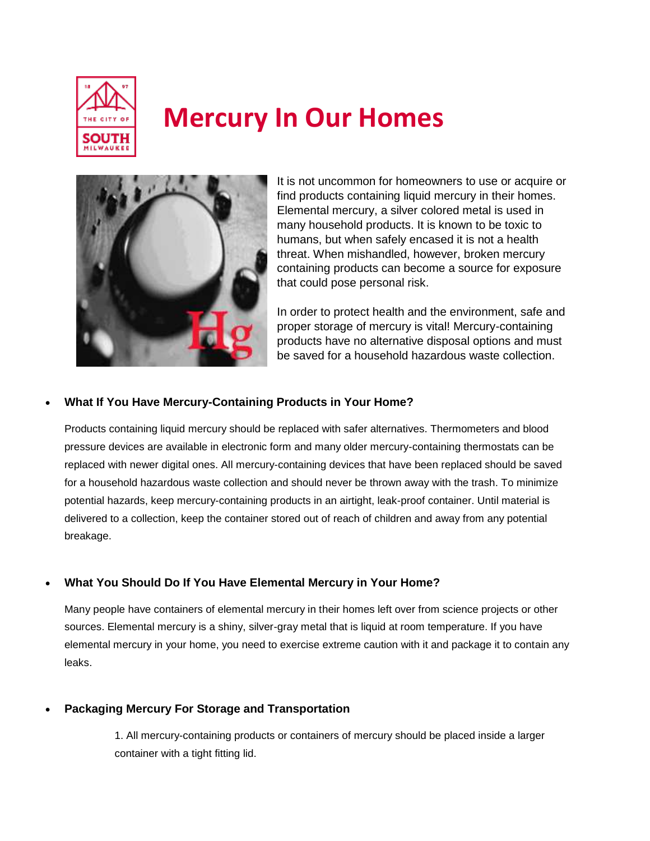

# **Mercury In Our Homes**



It is not uncommon for homeowners to use or acquire or find products containing liquid mercury in their homes. Elemental mercury, a silver colored metal is used in many household products. It is known to be toxic to humans, but when safely encased it is not a health threat. When mishandled, however, broken mercury containing products can become a source for exposure that could pose personal risk.

In order to protect health and the environment, safe and proper storage of mercury is vital! Mercury-containing products have no alternative disposal options and must be saved for a household hazardous waste collection.

# **What If You Have Mercury-Containing Products in Your Home?**

Products containing liquid mercury should be replaced with safer alternatives. Thermometers and blood pressure devices are available in electronic form and many older mercury-containing thermostats can be replaced with newer digital ones. All mercury-containing devices that have been replaced should be saved for a household hazardous waste collection and should never be thrown away with the trash. To minimize potential hazards, keep mercury-containing products in an airtight, leak-proof container. Until material is delivered to a collection, keep the container stored out of reach of children and away from any potential breakage.

# **What You Should Do If You Have Elemental Mercury in Your Home?**

Many people have containers of elemental mercury in their homes left over from science projects or other sources. Elemental mercury is a shiny, silver-gray metal that is liquid at room temperature. If you have elemental mercury in your home, you need to exercise extreme caution with it and package it to contain any leaks.

# **Packaging Mercury For Storage and Transportation**

1. All mercury-containing products or containers of mercury should be placed inside a larger container with a tight fitting lid.